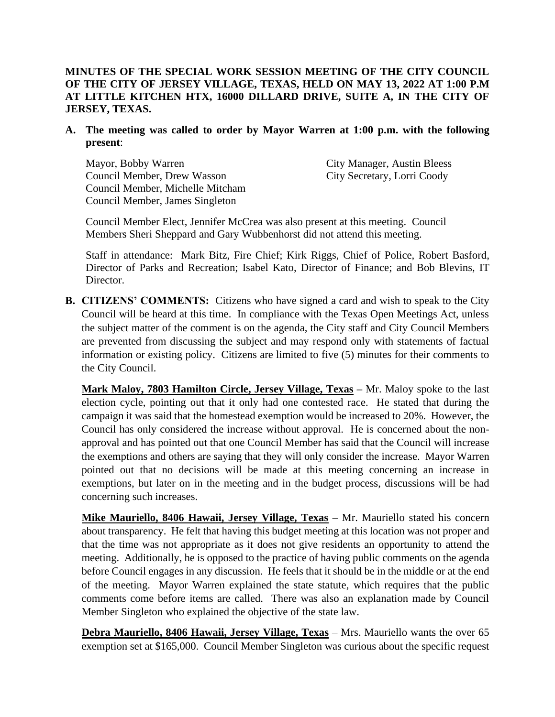## **MINUTES OF THE SPECIAL WORK SESSION MEETING OF THE CITY COUNCIL OF THE CITY OF JERSEY VILLAGE, TEXAS, HELD ON MAY 13, 2022 AT 1:00 P.M AT LITTLE KITCHEN HTX, 16000 DILLARD DRIVE, SUITE A, IN THE CITY OF JERSEY, TEXAS.**

**A. The meeting was called to order by Mayor Warren at 1:00 p.m. with the following present**:

Mayor, Bobby Warren City Manager, Austin Bleess Council Member, Drew Wasson City Secretary, Lorri Coody Council Member, Michelle Mitcham Council Member, James Singleton

Council Member Elect, Jennifer McCrea was also present at this meeting. Council Members Sheri Sheppard and Gary Wubbenhorst did not attend this meeting.

Staff in attendance: Mark Bitz, Fire Chief; Kirk Riggs, Chief of Police, Robert Basford, Director of Parks and Recreation; Isabel Kato, Director of Finance; and Bob Blevins, IT Director.

**B. CITIZENS' COMMENTS:** Citizens who have signed a card and wish to speak to the City Council will be heard at this time. In compliance with the Texas Open Meetings Act, unless the subject matter of the comment is on the agenda, the City staff and City Council Members are prevented from discussing the subject and may respond only with statements of factual information or existing policy. Citizens are limited to five (5) minutes for their comments to the City Council.

**Mark Maloy, 7803 Hamilton Circle, Jersey Village, Texas –** Mr. Maloy spoke to the last election cycle, pointing out that it only had one contested race. He stated that during the campaign it was said that the homestead exemption would be increased to 20%. However, the Council has only considered the increase without approval. He is concerned about the nonapproval and has pointed out that one Council Member has said that the Council will increase the exemptions and others are saying that they will only consider the increase. Mayor Warren pointed out that no decisions will be made at this meeting concerning an increase in exemptions, but later on in the meeting and in the budget process, discussions will be had concerning such increases.

**Mike Mauriello, 8406 Hawaii, Jersey Village, Texas** – Mr. Mauriello stated his concern about transparency. He felt that having this budget meeting at this location was not proper and that the time was not appropriate as it does not give residents an opportunity to attend the meeting. Additionally, he is opposed to the practice of having public comments on the agenda before Council engages in any discussion. He feels that it should be in the middle or at the end of the meeting. Mayor Warren explained the state statute, which requires that the public comments come before items are called. There was also an explanation made by Council Member Singleton who explained the objective of the state law.

**Debra Mauriello, 8406 Hawaii, Jersey Village, Texas** – Mrs. Mauriello wants the over 65 exemption set at \$165,000. Council Member Singleton was curious about the specific request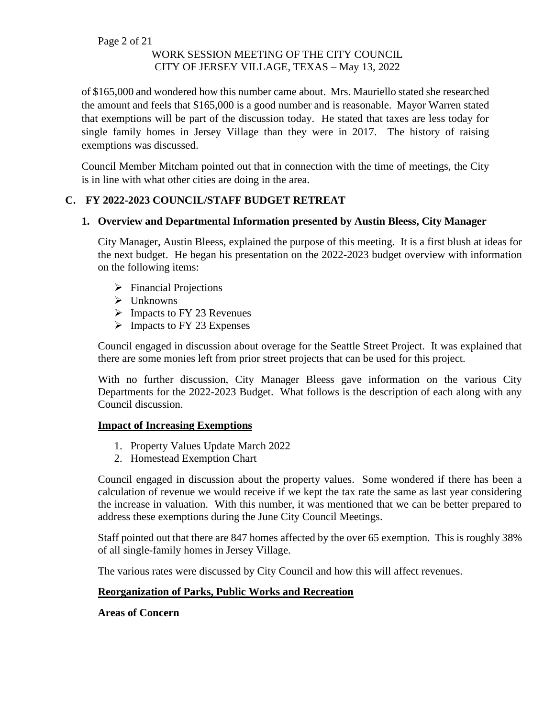of \$165,000 and wondered how this number came about. Mrs. Mauriello stated she researched the amount and feels that \$165,000 is a good number and is reasonable. Mayor Warren stated that exemptions will be part of the discussion today. He stated that taxes are less today for single family homes in Jersey Village than they were in 2017. The history of raising exemptions was discussed.

Council Member Mitcham pointed out that in connection with the time of meetings, the City is in line with what other cities are doing in the area.

## **C. FY 2022-2023 COUNCIL/STAFF BUDGET RETREAT**

## **1. Overview and Departmental Information presented by Austin Bleess, City Manager**

City Manager, Austin Bleess, explained the purpose of this meeting. It is a first blush at ideas for the next budget. He began his presentation on the 2022-2023 budget overview with information on the following items:

- ➢ Financial Projections
- ➢ Unknowns
- $\triangleright$  Impacts to FY 23 Revenues
- $\triangleright$  Impacts to FY 23 Expenses

Council engaged in discussion about overage for the Seattle Street Project. It was explained that there are some monies left from prior street projects that can be used for this project.

With no further discussion, City Manager Bleess gave information on the various City Departments for the 2022-2023 Budget. What follows is the description of each along with any Council discussion.

## **Impact of Increasing Exemptions**

- 1. Property Values Update March 2022
- 2. Homestead Exemption Chart

Council engaged in discussion about the property values. Some wondered if there has been a calculation of revenue we would receive if we kept the tax rate the same as last year considering the increase in valuation. With this number, it was mentioned that we can be better prepared to address these exemptions during the June City Council Meetings.

Staff pointed out that there are 847 homes affected by the over 65 exemption. This is roughly 38% of all single-family homes in Jersey Village.

The various rates were discussed by City Council and how this will affect revenues.

## **Reorganization of Parks, Public Works and Recreation**

**Areas of Concern**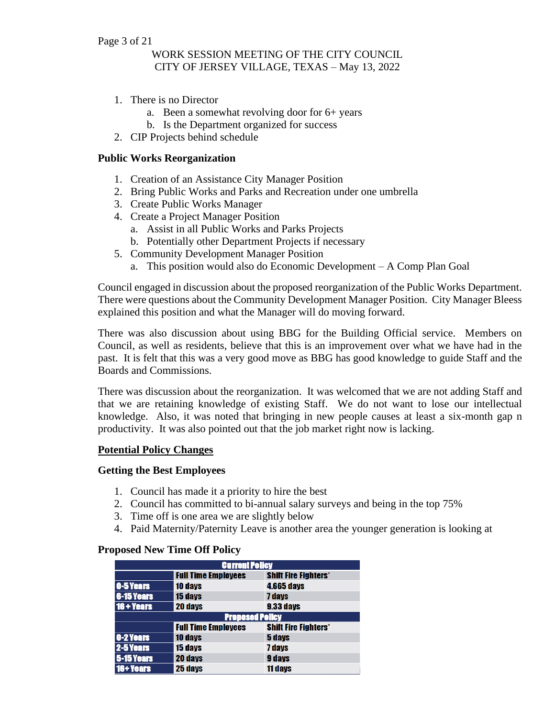#### Page 3 of 21

## WORK SESSION MEETING OF THE CITY COUNCIL CITY OF JERSEY VILLAGE, TEXAS – May 13, 2022

- 1. There is no Director
	- a. Been a somewhat revolving door for 6+ years
	- b. Is the Department organized for success
- 2. CIP Projects behind schedule

### **Public Works Reorganization**

- 1. Creation of an Assistance City Manager Position
- 2. Bring Public Works and Parks and Recreation under one umbrella
- 3. Create Public Works Manager
- 4. Create a Project Manager Position
	- a. Assist in all Public Works and Parks Projects
	- b. Potentially other Department Projects if necessary
- 5. Community Development Manager Position
	- a. This position would also do Economic Development A Comp Plan Goal

Council engaged in discussion about the proposed reorganization of the Public Works Department. There were questions about the Community Development Manager Position. City Manager Bleess explained this position and what the Manager will do moving forward.

There was also discussion about using BBG for the Building Official service. Members on Council, as well as residents, believe that this is an improvement over what we have had in the past. It is felt that this was a very good move as BBG has good knowledge to guide Staff and the Boards and Commissions.

There was discussion about the reorganization. It was welcomed that we are not adding Staff and that we are retaining knowledge of existing Staff. We do not want to lose our intellectual knowledge. Also, it was noted that bringing in new people causes at least a six-month gap n productivity. It was also pointed out that the job market right now is lacking.

#### **Potential Policy Changes**

### **Getting the Best Employees**

- 1. Council has made it a priority to hire the best
- 2. Council has committed to bi-annual salary surveys and being in the top 75%
- 3. Time off is one area we are slightly below
- 4. Paid Maternity/Paternity Leave is another area the younger generation is looking at

#### **Proposed New Time Off Policy**

|                   | <b>Current Policy</b>      |                             |
|-------------------|----------------------------|-----------------------------|
|                   | <b>Full Time Employees</b> | <b>Shift Fire Fighters*</b> |
| <b>0-5 Years</b>  | 10 days                    | <b>4.665 days</b>           |
| <b>6-15 Years</b> | <b>15 days</b>             | 7 days                      |
| $16 + Years$      | 20 days                    | <b>9.33 days</b>            |
|                   | <b>Proposed Policy</b>     |                             |
|                   | <b>Full Time Employees</b> | <b>Shift Fire Fighters*</b> |
| <b>0-2 Years</b>  | <b>10 days</b>             | 5 days                      |
| 2-5 Years         | <b>15 days</b>             | <b>7 days</b>               |
| <b>5-15 Years</b> | 20 days                    | 9 days                      |
| 16+ Years         | 25 days                    | <b>11 davs</b>              |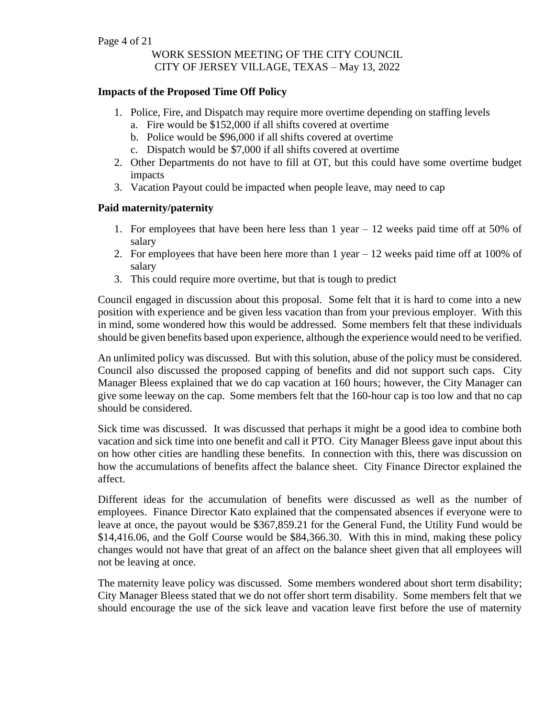#### **Impacts of the Proposed Time Off Policy**

- 1. Police, Fire, and Dispatch may require more overtime depending on staffing levels
	- a. Fire would be \$152,000 if all shifts covered at overtime
	- b. Police would be \$96,000 if all shifts covered at overtime
	- c. Dispatch would be \$7,000 if all shifts covered at overtime
- 2. Other Departments do not have to fill at OT, but this could have some overtime budget impacts
- 3. Vacation Payout could be impacted when people leave, may need to cap

#### **Paid maternity/paternity**

- 1. For employees that have been here less than 1 year 12 weeks paid time off at 50% of salary
- 2. For employees that have been here more than 1 year 12 weeks paid time off at 100% of salary
- 3. This could require more overtime, but that is tough to predict

Council engaged in discussion about this proposal. Some felt that it is hard to come into a new position with experience and be given less vacation than from your previous employer. With this in mind, some wondered how this would be addressed. Some members felt that these individuals should be given benefits based upon experience, although the experience would need to be verified.

An unlimited policy was discussed. But with this solution, abuse of the policy must be considered. Council also discussed the proposed capping of benefits and did not support such caps. City Manager Bleess explained that we do cap vacation at 160 hours; however, the City Manager can give some leeway on the cap. Some members felt that the 160-hour cap is too low and that no cap should be considered.

Sick time was discussed. It was discussed that perhaps it might be a good idea to combine both vacation and sick time into one benefit and call it PTO. City Manager Bleess gave input about this on how other cities are handling these benefits. In connection with this, there was discussion on how the accumulations of benefits affect the balance sheet. City Finance Director explained the affect.

Different ideas for the accumulation of benefits were discussed as well as the number of employees. Finance Director Kato explained that the compensated absences if everyone were to leave at once, the payout would be \$367,859.21 for the General Fund, the Utility Fund would be \$14,416.06, and the Golf Course would be \$84,366.30. With this in mind, making these policy changes would not have that great of an affect on the balance sheet given that all employees will not be leaving at once.

The maternity leave policy was discussed. Some members wondered about short term disability; City Manager Bleess stated that we do not offer short term disability. Some members felt that we should encourage the use of the sick leave and vacation leave first before the use of maternity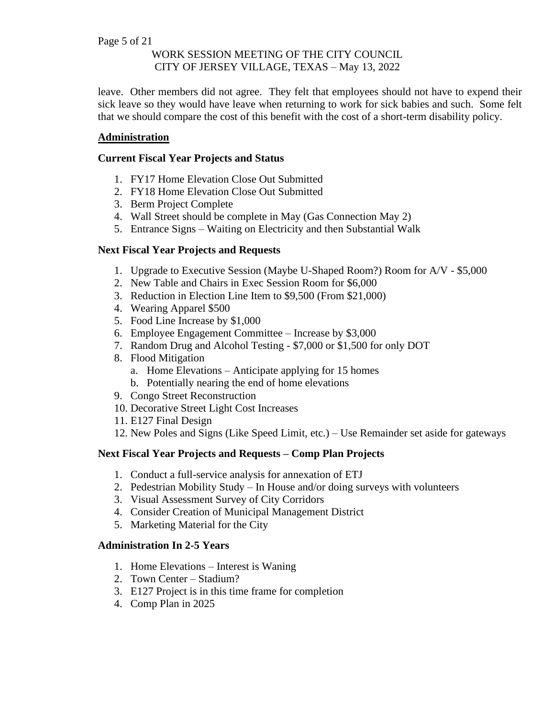leave. Other members did not agree. They felt that employees should not have to expend their sick leave so they would have leave when returning to work for sick babies and such. Some felt that we should compare the cost of this benefit with the cost of a short-term disability policy.

## **Administration**

### **Current Fiscal Year Projects and Status**

- 1. FY17 Home Elevation Close Out Submitted
- 2. FY18 Home Elevation Close Out Submitted
- 3. Berm Project Complete
- 4. Wall Street should be complete in May (Gas Connection May 2)
- 5. Entrance Signs Waiting on Electricity and then Substantial Walk

## **Next Fiscal Year Projects and Requests**

- 1. Upgrade to Executive Session (Maybe U-Shaped Room?) Room for A/V \$5,000
- 2. New Table and Chairs in Exec Session Room for \$6,000
- 3. Reduction in Election Line Item to \$9,500 (From \$21,000)
- 4. Wearing Apparel \$500
- 5. Food Line Increase by \$1,000
- 6. Employee Engagement Committee Increase by \$3,000
- 7. Random Drug and Alcohol Testing \$7,000 or \$1,500 for only DOT
- 8. Flood Mitigation
	- a. Home Elevations Anticipate applying for 15 homes
	- b. Potentially nearing the end of home elevations
- 9. Congo Street Reconstruction
- 10. Decorative Street Light Cost Increases
- 11. E127 Final Design
- 12. New Poles and Signs (Like Speed Limit, etc.) Use Remainder set aside for gateways

## **Next Fiscal Year Projects and Requests – Comp Plan Projects**

- 1. Conduct a full-service analysis for annexation of ETJ
- 2. Pedestrian Mobility Study In House and/or doing surveys with volunteers
- 3. Visual Assessment Survey of City Corridors
- 4. Consider Creation of Municipal Management District
- 5. Marketing Material for the City

## **Administration In 2-5 Years**

- 1. Home Elevations Interest is Waning
- 2. Town Center Stadium?
- 3. E127 Project is in this time frame for completion
- 4. Comp Plan in 2025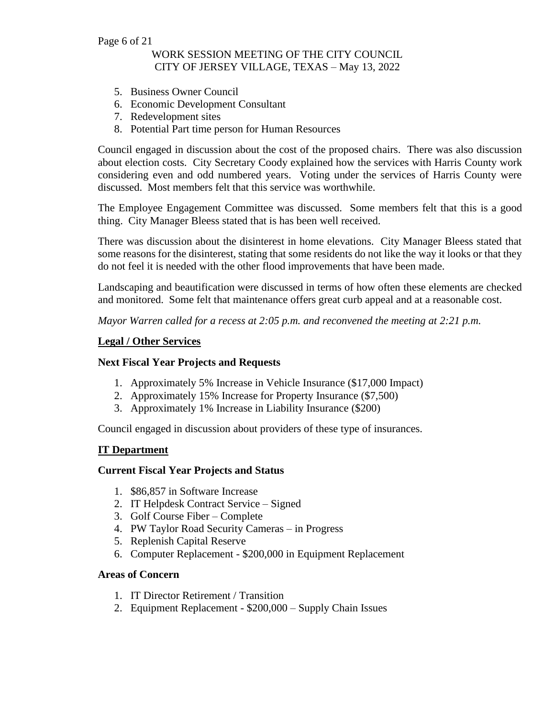#### Page 6 of 21

## WORK SESSION MEETING OF THE CITY COUNCIL CITY OF JERSEY VILLAGE, TEXAS – May 13, 2022

- 5. Business Owner Council
- 6. Economic Development Consultant
- 7. Redevelopment sites
- 8. Potential Part time person for Human Resources

Council engaged in discussion about the cost of the proposed chairs. There was also discussion about election costs. City Secretary Coody explained how the services with Harris County work considering even and odd numbered years. Voting under the services of Harris County were discussed. Most members felt that this service was worthwhile.

The Employee Engagement Committee was discussed. Some members felt that this is a good thing. City Manager Bleess stated that is has been well received.

There was discussion about the disinterest in home elevations. City Manager Bleess stated that some reasons for the disinterest, stating that some residents do not like the way it looks or that they do not feel it is needed with the other flood improvements that have been made.

Landscaping and beautification were discussed in terms of how often these elements are checked and monitored. Some felt that maintenance offers great curb appeal and at a reasonable cost.

*Mayor Warren called for a recess at 2:05 p.m. and reconvened the meeting at 2:21 p.m.*

## **Legal / Other Services**

### **Next Fiscal Year Projects and Requests**

- 1. Approximately 5% Increase in Vehicle Insurance (\$17,000 Impact)
- 2. Approximately 15% Increase for Property Insurance (\$7,500)
- 3. Approximately 1% Increase in Liability Insurance (\$200)

Council engaged in discussion about providers of these type of insurances.

#### **IT Department**

#### **Current Fiscal Year Projects and Status**

- 1. \$86,857 in Software Increase
- 2. IT Helpdesk Contract Service Signed
- 3. Golf Course Fiber Complete
- 4. PW Taylor Road Security Cameras in Progress
- 5. Replenish Capital Reserve
- 6. Computer Replacement \$200,000 in Equipment Replacement

#### **Areas of Concern**

- 1. IT Director Retirement / Transition
- 2. Equipment Replacement \$200,000 Supply Chain Issues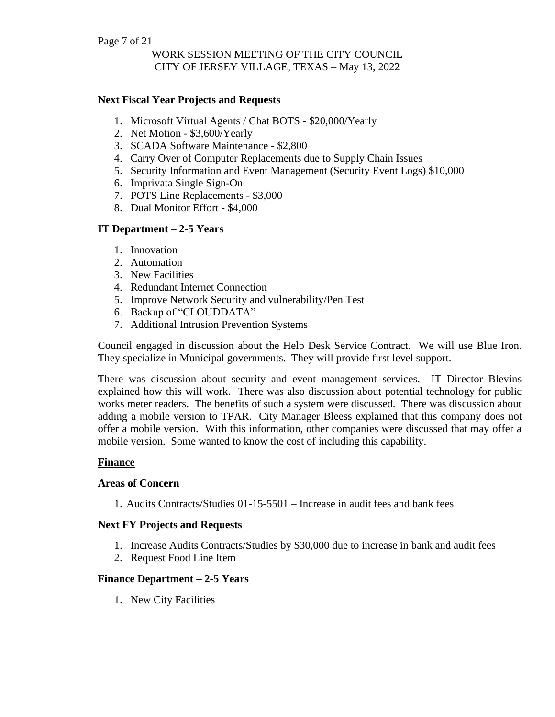#### Page 7 of 21

## WORK SESSION MEETING OF THE CITY COUNCIL CITY OF JERSEY VILLAGE, TEXAS – May 13, 2022

#### **Next Fiscal Year Projects and Requests**

- 1. Microsoft Virtual Agents / Chat BOTS \$20,000/Yearly
- 2. Net Motion \$3,600/Yearly
- 3. SCADA Software Maintenance \$2,800
- 4. Carry Over of Computer Replacements due to Supply Chain Issues
- 5. Security Information and Event Management (Security Event Logs) \$10,000
- 6. Imprivata Single Sign-On
- 7. POTS Line Replacements \$3,000
- 8. Dual Monitor Effort \$4,000

## **IT Department – 2-5 Years**

- 1. Innovation
- 2. Automation
- 3. New Facilities
- 4. Redundant Internet Connection
- 5. Improve Network Security and vulnerability/Pen Test
- 6. Backup of "CLOUDDATA"
- 7. Additional Intrusion Prevention Systems

Council engaged in discussion about the Help Desk Service Contract. We will use Blue Iron. They specialize in Municipal governments. They will provide first level support.

There was discussion about security and event management services. IT Director Blevins explained how this will work. There was also discussion about potential technology for public works meter readers. The benefits of such a system were discussed. There was discussion about adding a mobile version to TPAR. City Manager Bleess explained that this company does not offer a mobile version. With this information, other companies were discussed that may offer a mobile version. Some wanted to know the cost of including this capability.

#### **Finance**

#### **Areas of Concern**

1. Audits Contracts/Studies 01-15-5501 – Increase in audit fees and bank fees

#### **Next FY Projects and Requests**

- 1. Increase Audits Contracts/Studies by \$30,000 due to increase in bank and audit fees
- 2. Request Food Line Item

#### **Finance Department – 2-5 Years**

1. New City Facilities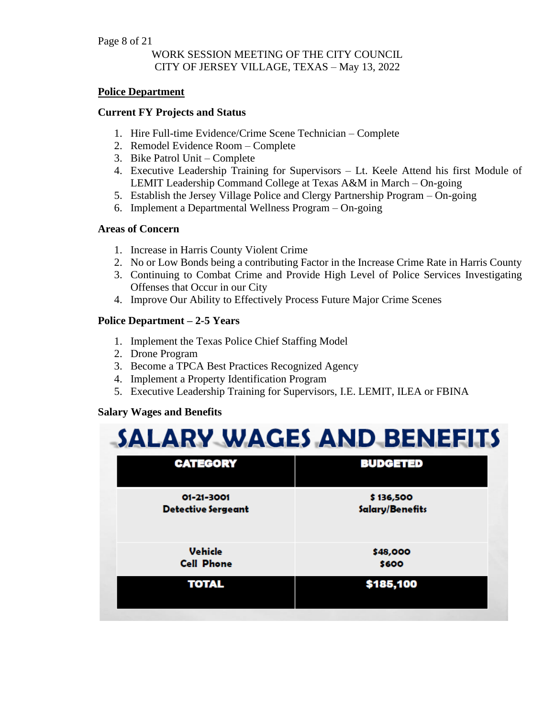#### Page 8 of 21

## WORK SESSION MEETING OF THE CITY COUNCIL CITY OF JERSEY VILLAGE, TEXAS – May 13, 2022

#### **Police Department**

#### **Current FY Projects and Status**

- 1. Hire Full-time Evidence/Crime Scene Technician Complete
- 2. Remodel Evidence Room Complete
- 3. Bike Patrol Unit Complete
- 4. Executive Leadership Training for Supervisors Lt. Keele Attend his first Module of LEMIT Leadership Command College at Texas A&M in March – On-going
- 5. Establish the Jersey Village Police and Clergy Partnership Program On-going
- 6. Implement a Departmental Wellness Program On-going

#### **Areas of Concern**

- 1. Increase in Harris County Violent Crime
- 2. No or Low Bonds being a contributing Factor in the Increase Crime Rate in Harris County
- 3. Continuing to Combat Crime and Provide High Level of Police Services Investigating Offenses that Occur in our City
- 4. Improve Our Ability to Effectively Process Future Major Crime Scenes

## **Police Department – 2-5 Years**

- 1. Implement the Texas Police Chief Staffing Model
- 2. Drone Program
- 3. Become a TPCA Best Practices Recognized Agency
- 4. Implement a Property Identification Program
- 5. Executive Leadership Training for Supervisors, I.E. LEMIT, ILEA or FBINA

#### **Salary Wages and Benefits**

| <b>SALARY WAGES AND BENEFITS</b> |  |  |
|----------------------------------|--|--|
|----------------------------------|--|--|

| <b>CATEGORY</b>           | <b>BUDGETED</b> |
|---------------------------|-----------------|
| 01-21-3001                | \$136,500       |
| <b>Detective Sergeant</b> | Salary/Benefits |
| <b>Vehicle</b>            | \$48,000        |
| <b>Cell Phone</b>         | \$600           |
| <b>TOTAL</b>              | \$185,100       |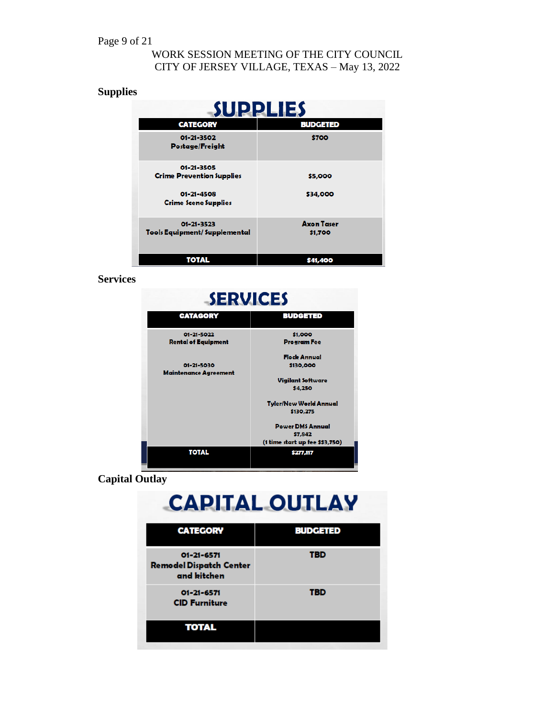## **Supplies**

|                                                    | SUPPLIES                     |
|----------------------------------------------------|------------------------------|
| <b>CATEGORY</b>                                    | <b>BUDGETED</b>              |
| 01-21-3502<br>Postage/Freight                      | \$700                        |
| 01-21-3505<br><b>Crime Prevention Supplies</b>     | \$5,000                      |
| 01-21-4508<br><b>Crime Scene Supplies</b>          | \$34,000                     |
| 01-21-3523<br><b>Tools Equipment/ Supplemental</b> | <b>Axon Taser</b><br>\$1,700 |
| TOTAL                                              | \$41,400                     |

**Services**

#### **SERVICES CATAGORY BUDGETED** 01-21-5022 \$1,000 **Rental of Equipment Program Fee Flock Annual** 01-21-5030 \$130,000 **Maintenance Agreement Vigilant Software**  $$4,250$ **Tyler/New World Annual** \$130,275 **Power DMS Annual** \$7,842 (1 time start up fee \$\$3,750) **TOTAL** \$277,117

**Capital Outlay**

# **CAPITAL OUTLAY**

| <b>CATEGORY</b>                                                   | <b>BUDGETED</b> |
|-------------------------------------------------------------------|-----------------|
| $01 - 21 - 6571$<br><b>Remodel Dispatch Center</b><br>and kitchen | TBD             |
| $01 - 21 - 6571$<br><b>CID Furniture</b>                          | TBD             |
| <b>TOTAL</b>                                                      |                 |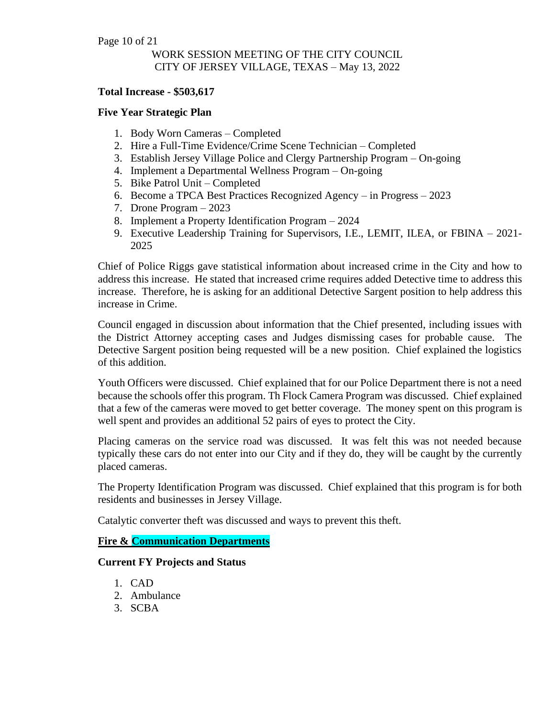#### Page 10 of 21

## WORK SESSION MEETING OF THE CITY COUNCIL CITY OF JERSEY VILLAGE, TEXAS – May 13, 2022

#### **Total Increase - \$503,617**

#### **Five Year Strategic Plan**

- 1. Body Worn Cameras Completed
- 2. Hire a Full-Time Evidence/Crime Scene Technician Completed
- 3. Establish Jersey Village Police and Clergy Partnership Program On-going
- 4. Implement a Departmental Wellness Program On-going
- 5. Bike Patrol Unit Completed
- 6. Become a TPCA Best Practices Recognized Agency in Progress 2023
- 7. Drone Program 2023
- 8. Implement a Property Identification Program 2024
- 9. Executive Leadership Training for Supervisors, I.E., LEMIT, ILEA, or FBINA 2021- 2025

Chief of Police Riggs gave statistical information about increased crime in the City and how to address this increase. He stated that increased crime requires added Detective time to address this increase. Therefore, he is asking for an additional Detective Sargent position to help address this increase in Crime.

Council engaged in discussion about information that the Chief presented, including issues with the District Attorney accepting cases and Judges dismissing cases for probable cause. The Detective Sargent position being requested will be a new position. Chief explained the logistics of this addition.

Youth Officers were discussed. Chief explained that for our Police Department there is not a need because the schools offer this program. Th Flock Camera Program was discussed. Chief explained that a few of the cameras were moved to get better coverage. The money spent on this program is well spent and provides an additional 52 pairs of eyes to protect the City.

Placing cameras on the service road was discussed. It was felt this was not needed because typically these cars do not enter into our City and if they do, they will be caught by the currently placed cameras.

The Property Identification Program was discussed. Chief explained that this program is for both residents and businesses in Jersey Village.

Catalytic converter theft was discussed and ways to prevent this theft.

#### **Fire & Communication Departments**

#### **Current FY Projects and Status**

- 1. CAD
- 2. Ambulance
- 3. SCBA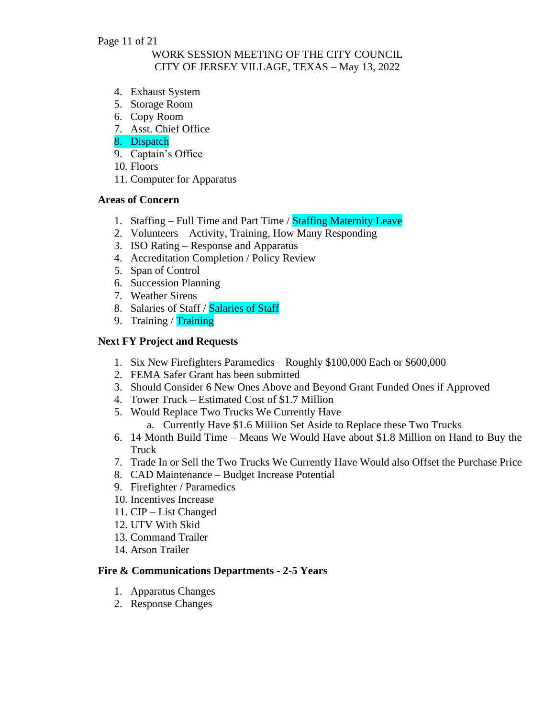#### Page 11 of 21

## WORK SESSION MEETING OF THE CITY COUNCIL CITY OF JERSEY VILLAGE, TEXAS – May 13, 2022

- 4. Exhaust System
- 5. Storage Room
- 6. Copy Room
- 7. Asst. Chief Office
- 8. Dispatch
- 9. Captain's Office
- 10. Floors
- 11. Computer for Apparatus

## **Areas of Concern**

- 1. Staffing Full Time and Part Time / Staffing Maternity Leave
- 2. Volunteers Activity, Training, How Many Responding
- 3. ISO Rating Response and Apparatus
- 4. Accreditation Completion / Policy Review
- 5. Span of Control
- 6. Succession Planning
- 7. Weather Sirens
- 8. Salaries of Staff / Salaries of Staff
- 9. Training / Training

## **Next FY Project and Requests**

- 1. Six New Firefighters Paramedics Roughly \$100,000 Each or \$600,000
- 2. FEMA Safer Grant has been submitted
- 3. Should Consider 6 New Ones Above and Beyond Grant Funded Ones if Approved
- 4. Tower Truck Estimated Cost of \$1.7 Million
- 5. Would Replace Two Trucks We Currently Have
	- a. Currently Have \$1.6 Million Set Aside to Replace these Two Trucks
- 6. 14 Month Build Time Means We Would Have about \$1.8 Million on Hand to Buy the Truck
- 7. Trade In or Sell the Two Trucks We Currently Have Would also Offset the Purchase Price
- 8. CAD Maintenance Budget Increase Potential
- 9. Firefighter / Paramedics
- 10. Incentives Increase
- 11. CIP List Changed
- 12. UTV With Skid
- 13. Command Trailer
- 14. Arson Trailer

## **Fire & Communications Departments - 2-5 Years**

- 1. Apparatus Changes
- 2. Response Changes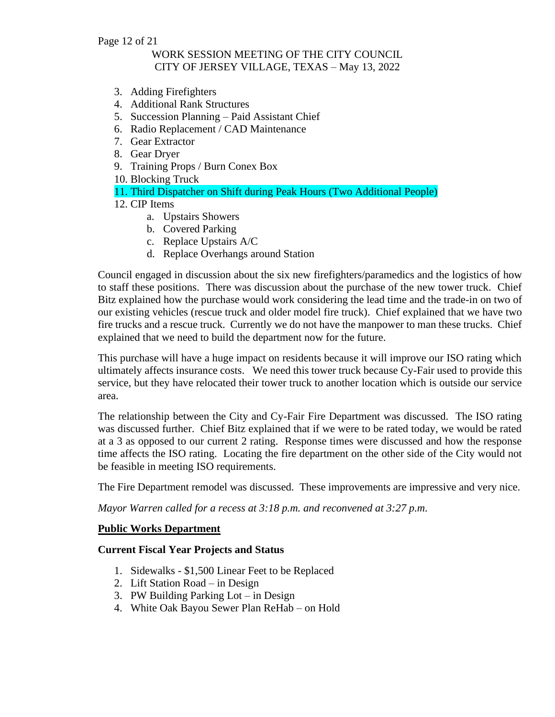#### Page 12 of 21

## WORK SESSION MEETING OF THE CITY COUNCIL CITY OF JERSEY VILLAGE, TEXAS – May 13, 2022

- 3. Adding Firefighters
- 4. Additional Rank Structures
- 5. Succession Planning Paid Assistant Chief
- 6. Radio Replacement / CAD Maintenance
- 7. Gear Extractor
- 8. Gear Dryer
- 9. Training Props / Burn Conex Box
- 10. Blocking Truck
- 11. Third Dispatcher on Shift during Peak Hours (Two Additional People)
- 12. CIP Items
	- a. Upstairs Showers
	- b. Covered Parking
	- c. Replace Upstairs A/C
	- d. Replace Overhangs around Station

Council engaged in discussion about the six new firefighters/paramedics and the logistics of how to staff these positions. There was discussion about the purchase of the new tower truck. Chief Bitz explained how the purchase would work considering the lead time and the trade-in on two of our existing vehicles (rescue truck and older model fire truck). Chief explained that we have two fire trucks and a rescue truck. Currently we do not have the manpower to man these trucks. Chief explained that we need to build the department now for the future.

This purchase will have a huge impact on residents because it will improve our ISO rating which ultimately affects insurance costs. We need this tower truck because Cy-Fair used to provide this service, but they have relocated their tower truck to another location which is outside our service area.

The relationship between the City and Cy-Fair Fire Department was discussed. The ISO rating was discussed further. Chief Bitz explained that if we were to be rated today, we would be rated at a 3 as opposed to our current 2 rating. Response times were discussed and how the response time affects the ISO rating. Locating the fire department on the other side of the City would not be feasible in meeting ISO requirements.

The Fire Department remodel was discussed. These improvements are impressive and very nice.

*Mayor Warren called for a recess at 3:18 p.m. and reconvened at 3:27 p.m.*

## **Public Works Department**

#### **Current Fiscal Year Projects and Status**

- 1. Sidewalks \$1,500 Linear Feet to be Replaced
- 2. Lift Station Road in Design
- 3. PW Building Parking Lot in Design
- 4. White Oak Bayou Sewer Plan ReHab on Hold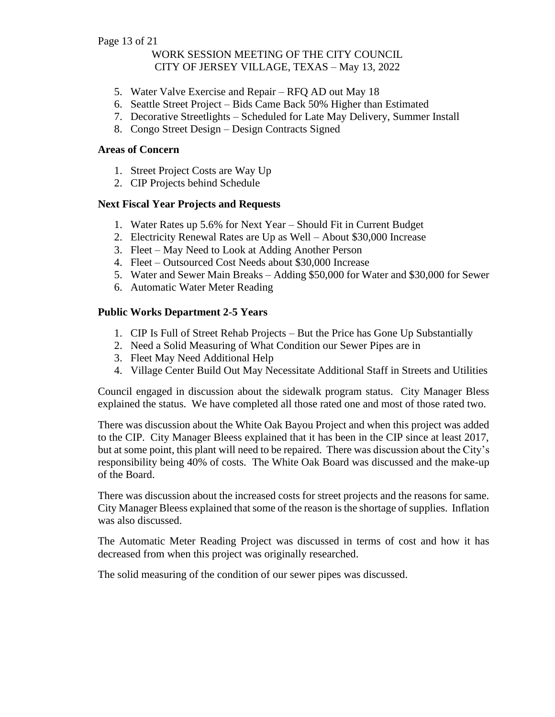#### Page 13 of 21

## WORK SESSION MEETING OF THE CITY COUNCIL CITY OF JERSEY VILLAGE, TEXAS – May 13, 2022

- 5. Water Valve Exercise and Repair RFQ AD out May 18
- 6. Seattle Street Project Bids Came Back 50% Higher than Estimated
- 7. Decorative Streetlights Scheduled for Late May Delivery, Summer Install
- 8. Congo Street Design Design Contracts Signed

## **Areas of Concern**

- 1. Street Project Costs are Way Up
- 2. CIP Projects behind Schedule

## **Next Fiscal Year Projects and Requests**

- 1. Water Rates up 5.6% for Next Year Should Fit in Current Budget
- 2. Electricity Renewal Rates are Up as Well About \$30,000 Increase
- 3. Fleet May Need to Look at Adding Another Person
- 4. Fleet Outsourced Cost Needs about \$30,000 Increase
- 5. Water and Sewer Main Breaks Adding \$50,000 for Water and \$30,000 for Sewer
- 6. Automatic Water Meter Reading

## **Public Works Department 2-5 Years**

- 1. CIP Is Full of Street Rehab Projects But the Price has Gone Up Substantially
- 2. Need a Solid Measuring of What Condition our Sewer Pipes are in
- 3. Fleet May Need Additional Help
- 4. Village Center Build Out May Necessitate Additional Staff in Streets and Utilities

Council engaged in discussion about the sidewalk program status. City Manager Bless explained the status. We have completed all those rated one and most of those rated two.

There was discussion about the White Oak Bayou Project and when this project was added to the CIP. City Manager Bleess explained that it has been in the CIP since at least 2017, but at some point, this plant will need to be repaired. There was discussion about the City's responsibility being 40% of costs. The White Oak Board was discussed and the make-up of the Board.

There was discussion about the increased costs for street projects and the reasons for same. City Manager Bleess explained that some of the reason is the shortage of supplies. Inflation was also discussed.

The Automatic Meter Reading Project was discussed in terms of cost and how it has decreased from when this project was originally researched.

The solid measuring of the condition of our sewer pipes was discussed.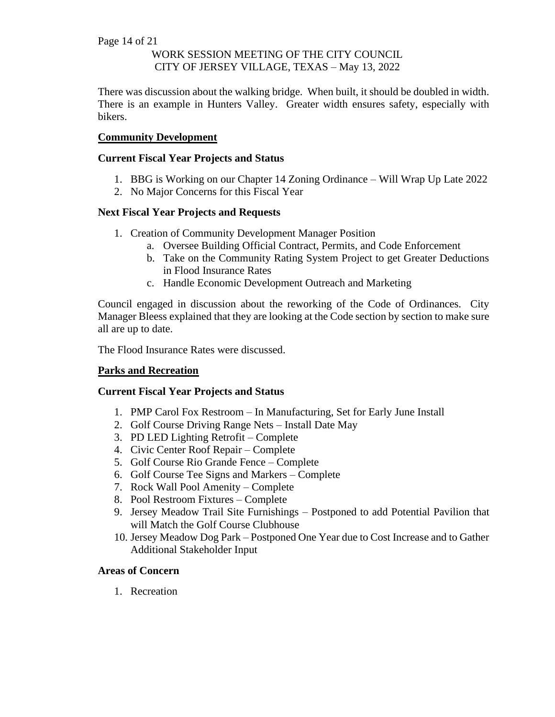Page 14 of 21

## WORK SESSION MEETING OF THE CITY COUNCIL CITY OF JERSEY VILLAGE, TEXAS – May 13, 2022

There was discussion about the walking bridge. When built, it should be doubled in width. There is an example in Hunters Valley. Greater width ensures safety, especially with bikers.

## **Community Development**

### **Current Fiscal Year Projects and Status**

- 1. BBG is Working on our Chapter 14 Zoning Ordinance Will Wrap Up Late 2022
- 2. No Major Concerns for this Fiscal Year

## **Next Fiscal Year Projects and Requests**

- 1. Creation of Community Development Manager Position
	- a. Oversee Building Official Contract, Permits, and Code Enforcement
	- b. Take on the Community Rating System Project to get Greater Deductions in Flood Insurance Rates
	- c. Handle Economic Development Outreach and Marketing

Council engaged in discussion about the reworking of the Code of Ordinances. City Manager Bleess explained that they are looking at the Code section by section to make sure all are up to date.

The Flood Insurance Rates were discussed.

#### **Parks and Recreation**

#### **Current Fiscal Year Projects and Status**

- 1. PMP Carol Fox Restroom In Manufacturing, Set for Early June Install
- 2. Golf Course Driving Range Nets Install Date May
- 3. PD LED Lighting Retrofit Complete
- 4. Civic Center Roof Repair Complete
- 5. Golf Course Rio Grande Fence Complete
- 6. Golf Course Tee Signs and Markers Complete
- 7. Rock Wall Pool Amenity Complete
- 8. Pool Restroom Fixtures Complete
- 9. Jersey Meadow Trail Site Furnishings Postponed to add Potential Pavilion that will Match the Golf Course Clubhouse
- 10. Jersey Meadow Dog Park Postponed One Year due to Cost Increase and to Gather Additional Stakeholder Input

#### **Areas of Concern**

1. Recreation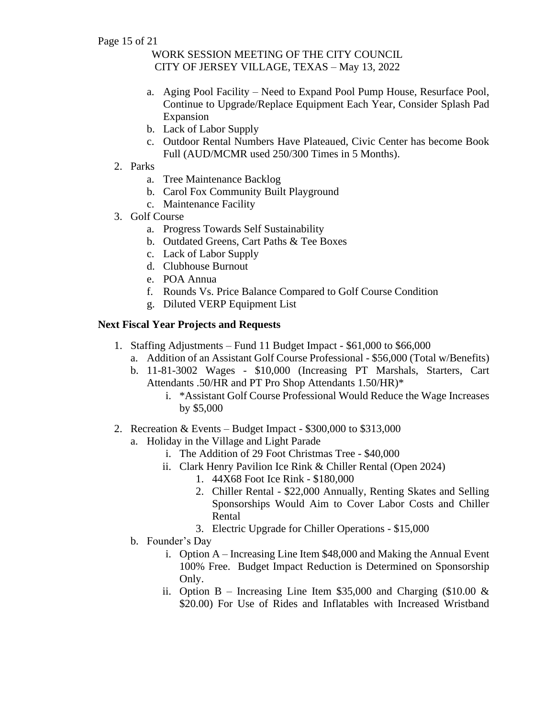- a. Aging Pool Facility Need to Expand Pool Pump House, Resurface Pool, Continue to Upgrade/Replace Equipment Each Year, Consider Splash Pad Expansion
- b. Lack of Labor Supply
- c. Outdoor Rental Numbers Have Plateaued, Civic Center has become Book Full (AUD/MCMR used 250/300 Times in 5 Months).
- 2. Parks
	- a. Tree Maintenance Backlog
	- b. Carol Fox Community Built Playground
	- c. Maintenance Facility
- 3. Golf Course
	- a. Progress Towards Self Sustainability
	- b. Outdated Greens, Cart Paths & Tee Boxes
	- c. Lack of Labor Supply
	- d. Clubhouse Burnout
	- e. POA Annua
	- f. Rounds Vs. Price Balance Compared to Golf Course Condition
	- g. Diluted VERP Equipment List

## **Next Fiscal Year Projects and Requests**

- 1. Staffing Adjustments Fund 11 Budget Impact \$61,000 to \$66,000
	- a. Addition of an Assistant Golf Course Professional \$56,000 (Total w/Benefits)
	- b. 11-81-3002 Wages \$10,000 (Increasing PT Marshals, Starters, Cart Attendants .50/HR and PT Pro Shop Attendants 1.50/HR)\*
		- i. \*Assistant Golf Course Professional Would Reduce the Wage Increases by \$5,000
- 2. Recreation & Events Budget Impact \$300,000 to \$313,000
	- a. Holiday in the Village and Light Parade
		- i. The Addition of 29 Foot Christmas Tree \$40,000
		- ii. Clark Henry Pavilion Ice Rink & Chiller Rental (Open 2024)
			- 1. 44X68 Foot Ice Rink \$180,000
			- 2. Chiller Rental \$22,000 Annually, Renting Skates and Selling Sponsorships Would Aim to Cover Labor Costs and Chiller Rental
			- 3. Electric Upgrade for Chiller Operations \$15,000
	- b. Founder's Day
		- i. Option A Increasing Line Item \$48,000 and Making the Annual Event 100% Free. Budget Impact Reduction is Determined on Sponsorship Only.
		- ii. Option B Increasing Line Item \$35,000 and Charging  $$10.00 \&$ \$20.00) For Use of Rides and Inflatables with Increased Wristband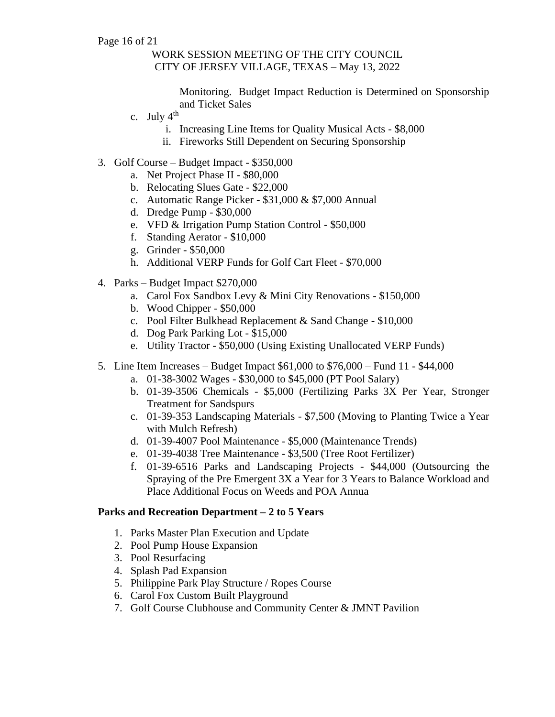Page 16 of 21

## WORK SESSION MEETING OF THE CITY COUNCIL CITY OF JERSEY VILLAGE, TEXAS – May 13, 2022

Monitoring. Budget Impact Reduction is Determined on Sponsorship and Ticket Sales

- c. July  $4<sup>th</sup>$ 
	- i. Increasing Line Items for Quality Musical Acts \$8,000
	- ii. Fireworks Still Dependent on Securing Sponsorship
- 3. Golf Course Budget Impact \$350,000
	- a. Net Project Phase II \$80,000
	- b. Relocating Slues Gate \$22,000
	- c. Automatic Range Picker \$31,000 & \$7,000 Annual
	- d. Dredge Pump \$30,000
	- e. VFD & Irrigation Pump Station Control \$50,000
	- f. Standing Aerator \$10,000
	- g. Grinder \$50,000
	- h. Additional VERP Funds for Golf Cart Fleet \$70,000
- 4. Parks Budget Impact \$270,000
	- a. Carol Fox Sandbox Levy & Mini City Renovations \$150,000
	- b. Wood Chipper \$50,000
	- c. Pool Filter Bulkhead Replacement & Sand Change \$10,000
	- d. Dog Park Parking Lot \$15,000
	- e. Utility Tractor \$50,000 (Using Existing Unallocated VERP Funds)
- 5. Line Item Increases Budget Impact \$61,000 to \$76,000 Fund 11 \$44,000
	- a. 01-38-3002 Wages \$30,000 to \$45,000 (PT Pool Salary)
	- b. 01-39-3506 Chemicals \$5,000 (Fertilizing Parks 3X Per Year, Stronger Treatment for Sandspurs
	- c. 01-39-353 Landscaping Materials \$7,500 (Moving to Planting Twice a Year with Mulch Refresh)
	- d. 01-39-4007 Pool Maintenance \$5,000 (Maintenance Trends)
	- e. 01-39-4038 Tree Maintenance \$3,500 (Tree Root Fertilizer)
	- f. 01-39-6516 Parks and Landscaping Projects \$44,000 (Outsourcing the Spraying of the Pre Emergent 3X a Year for 3 Years to Balance Workload and Place Additional Focus on Weeds and POA Annua

#### **Parks and Recreation Department – 2 to 5 Years**

- 1. Parks Master Plan Execution and Update
- 2. Pool Pump House Expansion
- 3. Pool Resurfacing
- 4. Splash Pad Expansion
- 5. Philippine Park Play Structure / Ropes Course
- 6. Carol Fox Custom Built Playground
- 7. Golf Course Clubhouse and Community Center & JMNT Pavilion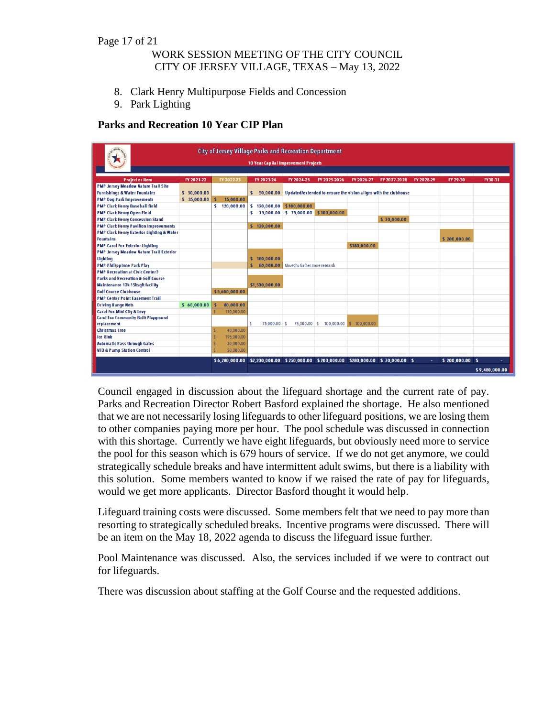#### Page 17 of 21

## WORK SESSION MEETING OF THE CITY COUNCIL CITY OF JERSEY VILLAGE, TEXAS – May 13, 2022

- 8. Clark Henry Multipurpose Fields and Concession
- 9. Park Lighting

## **Parks and Recreation 10 Year CIP Plan**

|                                                      |             | <b>City of Jersey Village Parks and Recreation Department</b> | 10 Year Capital Improvement Projects                                                |                               |                                                                           |                          |              |            |                  |                |
|------------------------------------------------------|-------------|---------------------------------------------------------------|-------------------------------------------------------------------------------------|-------------------------------|---------------------------------------------------------------------------|--------------------------|--------------|------------|------------------|----------------|
| <b>Project or Item</b>                               | FY 2021-22  | FY 2022-23                                                    | FY 2023-24                                                                          | FY 2024-25                    | FY 2025-2026                                                              | FY 2026-27               | FY 2027-2028 | FY 2028-29 | FY 29-30         | FY30-31        |
| <b>PMP Jersey Meadow Nature Trail Site</b>           |             |                                                               |                                                                                     |                               |                                                                           |                          |              |            |                  |                |
| <b>Furnishings &amp; Water Fountains</b>             | \$50,000.00 |                                                               | s.                                                                                  |                               | 50,000.00 Updated/extended to ensure the vision aligns with the clubhouse |                          |              |            |                  |                |
| <b>PMP Dog Park Improvements</b>                     | \$35,000.00 | 15,000.00                                                     |                                                                                     |                               |                                                                           |                          |              |            |                  |                |
| <b>PMP Clark Henry Baseball field</b>                |             | \$120,000.00                                                  | \$120,000.00                                                                        | \$100,000.00                  |                                                                           |                          |              |            |                  |                |
| <b>PMP Clark Henry Open Field</b>                    |             |                                                               | s                                                                                   | 75,000.00 \$75,000.00         | \$100,000.00                                                              |                          |              |            |                  |                |
| <b>PMP Clark Henry Concession Stand</b>              |             |                                                               |                                                                                     |                               |                                                                           |                          | \$70,000.00  |            |                  |                |
| <b>PMP Clark Henry Pavilion Improvements</b>         |             |                                                               | \$120,000.00                                                                        |                               |                                                                           |                          |              |            |                  |                |
| <b>PMP Clark Henry Exterior Lighting &amp; Water</b> |             |                                                               |                                                                                     |                               |                                                                           |                          |              |            |                  |                |
| <b>Fountains</b>                                     |             |                                                               |                                                                                     |                               |                                                                           |                          |              |            | \$200,000.00     |                |
| <b>PMP Carol Fox Exterior Lighting</b>               |             |                                                               |                                                                                     |                               |                                                                           | \$180,000.00             |              |            |                  |                |
| <b>PMP Jersey Meadow Nature Trail Exterior</b>       |             |                                                               |                                                                                     |                               |                                                                           |                          |              |            |                  |                |
| Lighting                                             |             |                                                               | 180,000.00<br>s.                                                                    |                               |                                                                           |                          |              |            |                  |                |
| <b>PMP Philippinne Park Play</b>                     |             |                                                               | 80.000.00                                                                           | Moved to Gather more research |                                                                           |                          |              |            |                  |                |
| <b>PMP Recreation at Civic Center?</b>               |             |                                                               |                                                                                     |                               |                                                                           |                          |              |            |                  |                |
| <b>Parks and Recreation &amp; Golf Course</b>        |             |                                                               |                                                                                     |                               |                                                                           |                          |              |            |                  |                |
| <b>Maintenance 12k-15ksqft facility</b>              |             |                                                               | \$1,500,000.00                                                                      |                               |                                                                           |                          |              |            |                  |                |
| <b>Golf Course Clubhouse</b>                         |             | \$5,600,000.00                                                |                                                                                     |                               |                                                                           |                          |              |            |                  |                |
| <b>PMP Center Point Easement Trail</b>               |             |                                                               |                                                                                     |                               |                                                                           |                          |              |            |                  |                |
| <b>Driving Range Nets</b>                            | \$60,000.00 | 80.000.00                                                     |                                                                                     |                               |                                                                           |                          |              |            |                  |                |
| <b>Carol Fox Mini City &amp; Levy</b>                |             | 150,000.00                                                    |                                                                                     |                               |                                                                           |                          |              |            |                  |                |
| <b>Carol Fox Community Built Playground</b>          |             |                                                               |                                                                                     |                               |                                                                           |                          |              |            |                  |                |
| re place ment                                        |             |                                                               | \$.<br>75,000.00 S                                                                  | 75,000.00 \$                  |                                                                           | 100,000,00 \$ 100,000,00 |              |            |                  |                |
| <b>Christmas Tree</b>                                |             | 40.000.00                                                     |                                                                                     |                               |                                                                           |                          |              |            |                  |                |
| <b>Ice Rink</b>                                      |             | 195.000.00                                                    |                                                                                     |                               |                                                                           |                          |              |            |                  |                |
| <b>Automatic Pass through Gates</b>                  |             | 30,000.00                                                     |                                                                                     |                               |                                                                           |                          |              |            |                  |                |
| <b>VFD &amp; Pump Station Control</b>                |             | 50.000.00                                                     |                                                                                     |                               |                                                                           |                          |              |            |                  |                |
|                                                      |             |                                                               | \$6,280,000.00 \$2,200,000.00 \$250,000.00 \$200,000.00 \$280,000.00 \$70,000.00 \$ |                               |                                                                           |                          |              | $\sim$     | \$ 200,000.00 \$ |                |
|                                                      |             |                                                               |                                                                                     |                               |                                                                           |                          |              |            |                  | \$9,480,000.00 |

Council engaged in discussion about the lifeguard shortage and the current rate of pay. Parks and Recreation Director Robert Basford explained the shortage. He also mentioned that we are not necessarily losing lifeguards to other lifeguard positions, we are losing them to other companies paying more per hour. The pool schedule was discussed in connection with this shortage. Currently we have eight lifeguards, but obviously need more to service the pool for this season which is 679 hours of service. If we do not get anymore, we could strategically schedule breaks and have intermittent adult swims, but there is a liability with this solution. Some members wanted to know if we raised the rate of pay for lifeguards, would we get more applicants. Director Basford thought it would help.

Lifeguard training costs were discussed. Some members felt that we need to pay more than resorting to strategically scheduled breaks. Incentive programs were discussed. There will be an item on the May 18, 2022 agenda to discuss the lifeguard issue further.

Pool Maintenance was discussed. Also, the services included if we were to contract out for lifeguards.

There was discussion about staffing at the Golf Course and the requested additions.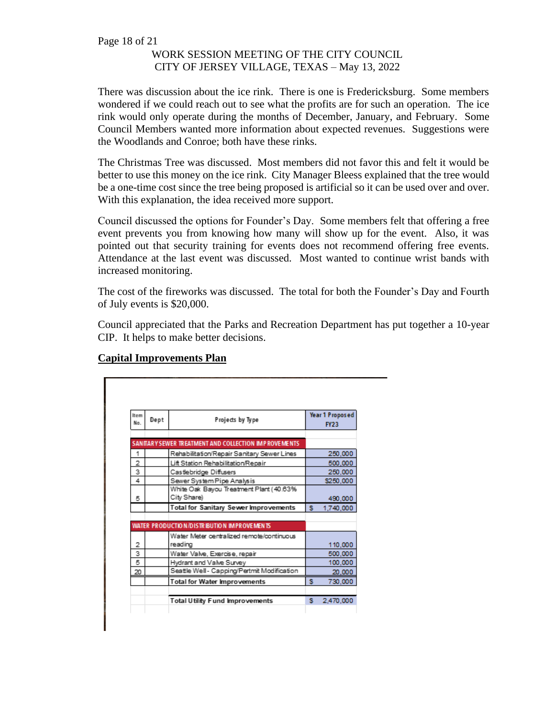There was discussion about the ice rink. There is one is Fredericksburg. Some members wondered if we could reach out to see what the profits are for such an operation. The ice rink would only operate during the months of December, January, and February. Some Council Members wanted more information about expected revenues. Suggestions were the Woodlands and Conroe; both have these rinks.

The Christmas Tree was discussed. Most members did not favor this and felt it would be better to use this money on the ice rink. City Manager Bleess explained that the tree would be a one-time cost since the tree being proposed is artificial so it can be used over and over. With this explanation, the idea received more support.

Council discussed the options for Founder's Day. Some members felt that offering a free event prevents you from knowing how many will show up for the event. Also, it was pointed out that security training for events does not recommend offering free events. Attendance at the last event was discussed. Most wanted to continue wrist bands with increased monitoring.

The cost of the fireworks was discussed. The total for both the Founder's Day and Fourth of July events is \$20,000.

Council appreciated that the Parks and Recreation Department has put together a 10-year CIP. It helps to make better decisions.

## **Capital Improvements Plan**

| Item<br>No.    | Dept | Projects by Type                                          |   | Year 1 Proposed<br><b>FY23</b> |
|----------------|------|-----------------------------------------------------------|---|--------------------------------|
|                |      | SANITARY SEWER TREATMENT AND COLLECTION IMP ROVE MENTS.   |   |                                |
|                |      | Rehabilitation/Repair Sanitary Sewer Lines                |   | 250,000                        |
| $\overline{2}$ |      | Lift Station Rehabilitation/Repair                        |   | 500,000                        |
| 3              |      | Castlebridge Diffusers                                    |   | 250,000                        |
| 4              |      | Sewer System Pipe Analysis                                |   | \$250,000                      |
| 5              |      | White Oak Bayou Treatment Plant (40.63%<br>City Share)    |   | 490,000                        |
|                |      | <b>Total for Sanitary Sewer Improvements</b>              | s | 1,740,000                      |
|                |      | WATER PRODUCTION/DISTRIBUTION IMPROVEMENTS                |   |                                |
|                |      | Water Meter centralized remote/continuous                 |   |                                |
| 2<br>3         |      | reading                                                   |   | 110,000                        |
| 5              |      | Water Valve, Exercise, repair<br>Hydrant and Valve Survey |   | 500,000<br>100,000             |
| 20             |      | Seattle Well - Capping/Pertmit Modification               |   | 20,000                         |
|                |      | <b>Total for Water Improvements</b>                       | s | 730,000                        |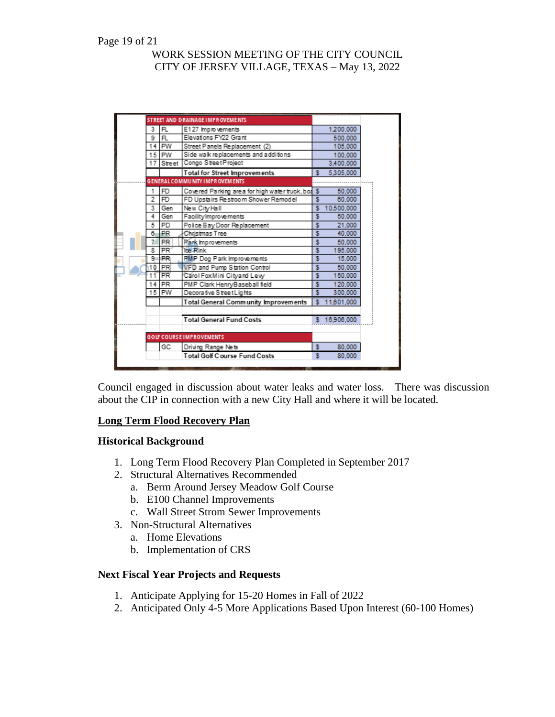|    |           | <b>STREET AND DRAINAGE IMPROVEMENTS</b>        |    |              |
|----|-----------|------------------------------------------------|----|--------------|
| 3  | FL.       | E127 Improvements                              |    | 1,200,000    |
| 9  | FL.       | Elevations FY22 Grant                          |    | 500,000      |
|    | 14 PW     | Street Panels Replacement (2)                  |    | 105,000      |
| 15 | PW        | Side walk replacements and additions           |    | 100,000      |
| 17 | Street    | Congo Street Project                           |    | 3.400.000    |
|    |           | <b>Total for Street Improvements</b>           | s  | 5,305,000    |
|    |           | <b>GENERAL COMMUNITY IMPROVEMENTS</b>          |    |              |
|    | FD        | Covered Parking area for high water truck, bod | s  | 50,000       |
| 2  | FD        | FD Upstairs Restroom Shower Remodel            | s  | 60.000       |
| 3  | Gen       | New City Hall                                  | s  | 10,500,000   |
| 4  | Gen       | Facility Improvements                          | s  | 50.000       |
| 5  | PD        | Police Bay Door Replacement                    | s  | 21,000       |
| 6  | <b>PR</b> | Christmas Tree                                 | s  | 40,000       |
|    | <b>PR</b> | Hark Improvements                              | \$ | 50,000       |
| 8  | PR        | 16 Rink                                        | s  | 195,000      |
| 9  | ₽R        | PMP Dog Park Improvements                      | \$ | 15,000       |
| 10 | <b>PR</b> | VFD and Pump Station Control                   | s  | 50,000       |
|    | PR.       | Carol Fox Mini Cityand Levy                    | \$ | 150,000      |
| 4  | <b>PR</b> | PMP Clark HenryBaseball field                  | \$ | 120,000      |
| 15 | PW        | Decorative Street Lights                       | š  | 300,000      |
|    |           | Total General Community Improvements           | s  | 11,601,000   |
|    |           |                                                |    |              |
|    |           | <b>Total General Fund Costs</b>                |    | \$16,906,000 |
|    |           |                                                |    |              |
|    |           | <b>GOLF COURSE IMPROVEMENTS</b>                |    |              |
|    | GC        | Driving Range Nets                             | s  | 80,000       |
|    |           | <b>Total Golf Course Fund Costs</b>            | s  | 80.000       |

Council engaged in discussion about water leaks and water loss. There was discussion about the CIP in connection with a new City Hall and where it will be located.

#### **Long Term Flood Recovery Plan**

#### **Historical Background**

- 1. Long Term Flood Recovery Plan Completed in September 2017
- 2. Structural Alternatives Recommended
	- a. Berm Around Jersey Meadow Golf Course
	- b. E100 Channel Improvements
	- c. Wall Street Strom Sewer Improvements
- 3. Non-Structural Alternatives
	- a. Home Elevations
	- b. Implementation of CRS

#### **Next Fiscal Year Projects and Requests**

- 1. Anticipate Applying for 15-20 Homes in Fall of 2022
- 2. Anticipated Only 4-5 More Applications Based Upon Interest (60-100 Homes)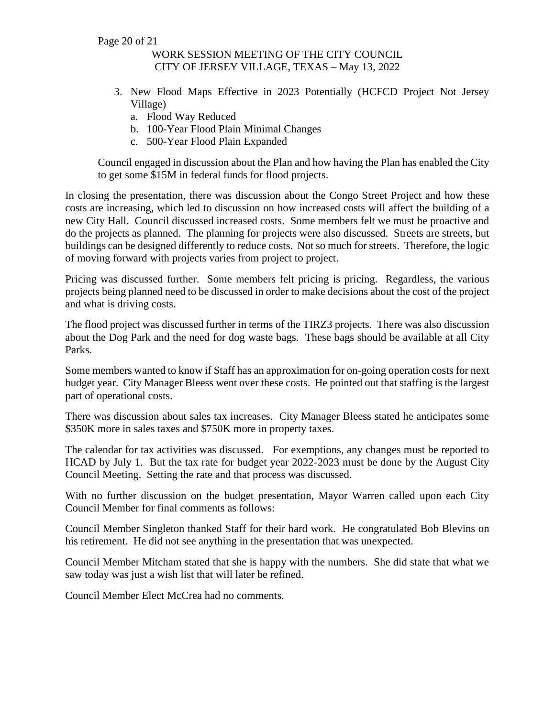- 3. New Flood Maps Effective in 2023 Potentially (HCFCD Project Not Jersey Village)
	- a. Flood Way Reduced
	- b. 100-Year Flood Plain Minimal Changes
	- c. 500-Year Flood Plain Expanded

Council engaged in discussion about the Plan and how having the Plan has enabled the City to get some \$15M in federal funds for flood projects.

In closing the presentation, there was discussion about the Congo Street Project and how these costs are increasing, which led to discussion on how increased costs will affect the building of a new City Hall. Council discussed increased costs. Some members felt we must be proactive and do the projects as planned. The planning for projects were also discussed. Streets are streets, but buildings can be designed differently to reduce costs. Not so much for streets. Therefore, the logic of moving forward with projects varies from project to project.

Pricing was discussed further. Some members felt pricing is pricing. Regardless, the various projects being planned need to be discussed in order to make decisions about the cost of the project and what is driving costs.

The flood project was discussed further in terms of the TIRZ3 projects. There was also discussion about the Dog Park and the need for dog waste bags. These bags should be available at all City Parks.

Some members wanted to know if Staff has an approximation for on-going operation costs for next budget year. City Manager Bleess went over these costs. He pointed out that staffing is the largest part of operational costs.

There was discussion about sales tax increases. City Manager Bleess stated he anticipates some \$350K more in sales taxes and \$750K more in property taxes.

The calendar for tax activities was discussed. For exemptions, any changes must be reported to HCAD by July 1. But the tax rate for budget year 2022-2023 must be done by the August City Council Meeting. Setting the rate and that process was discussed.

With no further discussion on the budget presentation, Mayor Warren called upon each City Council Member for final comments as follows:

Council Member Singleton thanked Staff for their hard work. He congratulated Bob Blevins on his retirement. He did not see anything in the presentation that was unexpected.

Council Member Mitcham stated that she is happy with the numbers. She did state that what we saw today was just a wish list that will later be refined.

Council Member Elect McCrea had no comments.